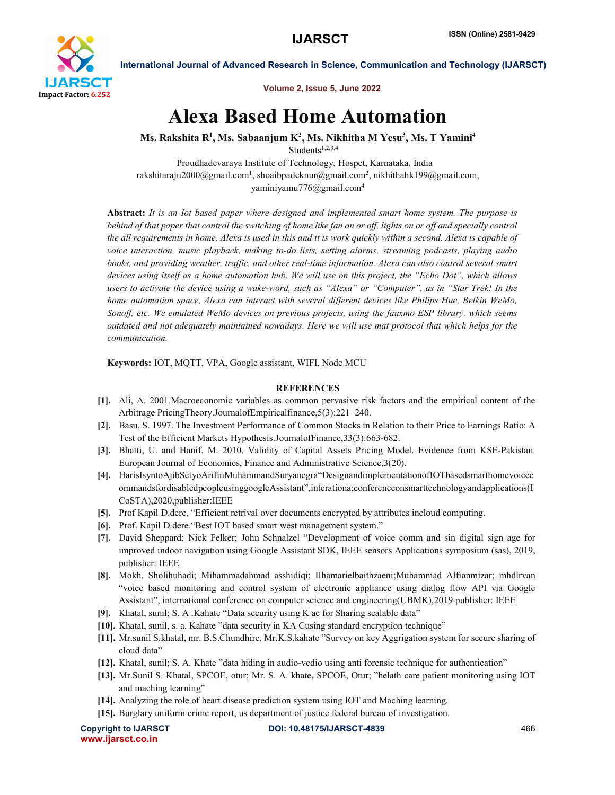

International Journal of Advanced Research in Science, Communication and Technology (IJARSCT)

Volume 2, Issue 5, June 2022

## Alexa Based Home Automation

Ms. Rakshita R $^1$ , Ms. Sabaanjum K $^2$ , Ms. Nikhitha M Yesu $^3$ , Ms. T Yamini $^4$ 

Students<sup>1,2,3,4</sup>

Proudhadevaraya Institute of Technology, Hospet, Karnataka, India rakshitaraju2000@gmail.com<sup>1</sup>, shoaibpadeknur@gmail.com<sup>2</sup>, nikhithahk199@gmail.com, yaminiyamu776@gmail.com4

Abstract: *It is an Iot based paper where designed and implemented smart home system. The purpose is behind of that paper that control the switching of home like fan on or off, lights on or off and specially control the all requirements in home. Alexa is used in this and it is work quickly within a second. Alexa is capable of voice interaction, music playback, making to-do lists, setting alarms, streaming podcasts, playing audio books, and providing weather, traffic, and other real-time information. Alexa can also control several smart devices using itself as a home automation hub. We will use on this project, the "Echo Dot", which allows users to activate the device using a wake-word, such as "Alexa" or "Computer", as in "Star Trek! In the home automation space, Alexa can interact with several different devices like Philips Hue, Belkin WeMo, Sonoff, etc. We emulated WeMo devices on previous projects, using the fauxmo ESP library, which seems outdated and not adequately maintained nowadays. Here we will use mat protocol that which helps for the communication.*

Keywords: IOT, MQTT, VPA, Google assistant, WIFI, Node MCU

## **REFERENCES**

- [1]. Ali, A. 2001.Macroeconomic variables as common pervasive risk factors and the empirical content of the Arbitrage PricingTheory.JournalofEmpiricalfinance,5(3):221–240.
- [2]. Basu, S. 1997. The Investment Performance of Common Stocks in Relation to their Price to Earnings Ratio: A Test of the Efficient Markets Hypothesis.JournalofFinance,33(3):663-682.
- [3]. Bhatti, U. and Hanif. M. 2010. Validity of Capital Assets Pricing Model. Evidence from KSE-Pakistan. European Journal of Economics, Finance and Administrative Science,3(20).
- [4]. HarisIsyntoAjibSetyoArifinMuhammandSuryanegra"DesignandimplementationofIOTbasedsmarthomevoicec ommandsfordisabledpeopleusinggoogleAssistant",interationa;conferenceonsmarttechnologyandapplications(I CoSTA),2020,publisher:IEEE
- [5]. Prof Kapil D.dere, "Efficient retrival over documents encrypted by attributes incloud computing.
- [6]. Prof. Kapil D.dere."Best IOT based smart west management system."
- [7]. David Sheppard; Nick Felker; John Schnalzel "Development of voice comm and sin digital sign age for improved indoor navigation using Google Assistant SDK, IEEE sensors Applications symposium (sas), 2019, publisher: IEEE
- [8]. Mokh. Sholihuhadi; Mihammadahmad asshidiqi; IIhamarielbaithzaeni;Muhammad Alfianmizar; mhdlrvan "voice based monitoring and control system of electronic appliance using dialog flow API via Google Assistant", international conference on computer science and engineering(UBMK),2019 publisher: IEEE
- [9]. Khatal, sunil; S. A .Kahate "Data security using K ac for Sharing scalable data"
- [10]. Khatal, sunil, s. a. Kahate "data security in KA Cusing standard encryption technique"
- [11]. Mr.sunil S.khatal, mr. B.S.Chundhire, Mr.K.S.kahate "Survey on key Aggrigation system for secure sharing of cloud data"
- [12]. Khatal, sunil; S. A. Khate "data hiding in audio-vedio using anti forensic technique for authentication"
- [13]. Mr.Sunil S. Khatal, SPCOE, otur; Mr. S. A. khate, SPCOE, Otur; "helath care patient monitoring using IOT and maching learning"
- [14]. Analyzing the role of heart disease prediction system using IOT and Maching learning.
- [15]. Burglary uniform crime report, us department of justice federal bureau of investigation.

www.ijarsct.co.in